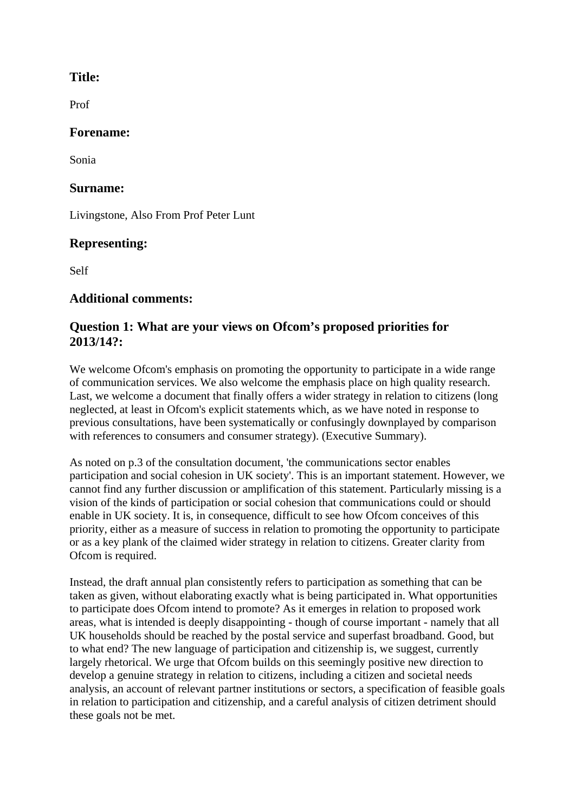## **Title:**

Prof

### **Forename:**

Sonia

### **Surname:**

Livingstone, Also From Prof Peter Lunt

# **Representing:**

Self

# **Additional comments:**

# **Question 1: What are your views on Ofcom's proposed priorities for 2013/14?:**

We welcome Ofcom's emphasis on promoting the opportunity to participate in a wide range of communication services. We also welcome the emphasis place on high quality research. Last, we welcome a document that finally offers a wider strategy in relation to citizens (long neglected, at least in Ofcom's explicit statements which, as we have noted in response to previous consultations, have been systematically or confusingly downplayed by comparison with references to consumers and consumer strategy). (Executive Summary).

As noted on p.3 of the consultation document, 'the communications sector enables participation and social cohesion in UK society'. This is an important statement. However, we cannot find any further discussion or amplification of this statement. Particularly missing is a vision of the kinds of participation or social cohesion that communications could or should enable in UK society. It is, in consequence, difficult to see how Ofcom conceives of this priority, either as a measure of success in relation to promoting the opportunity to participate or as a key plank of the claimed wider strategy in relation to citizens. Greater clarity from Ofcom is required.

Instead, the draft annual plan consistently refers to participation as something that can be taken as given, without elaborating exactly what is being participated in. What opportunities to participate does Ofcom intend to promote? As it emerges in relation to proposed work areas, what is intended is deeply disappointing - though of course important - namely that all UK households should be reached by the postal service and superfast broadband. Good, but to what end? The new language of participation and citizenship is, we suggest, currently largely rhetorical. We urge that Ofcom builds on this seemingly positive new direction to develop a genuine strategy in relation to citizens, including a citizen and societal needs analysis, an account of relevant partner institutions or sectors, a specification of feasible goals in relation to participation and citizenship, and a careful analysis of citizen detriment should these goals not be met.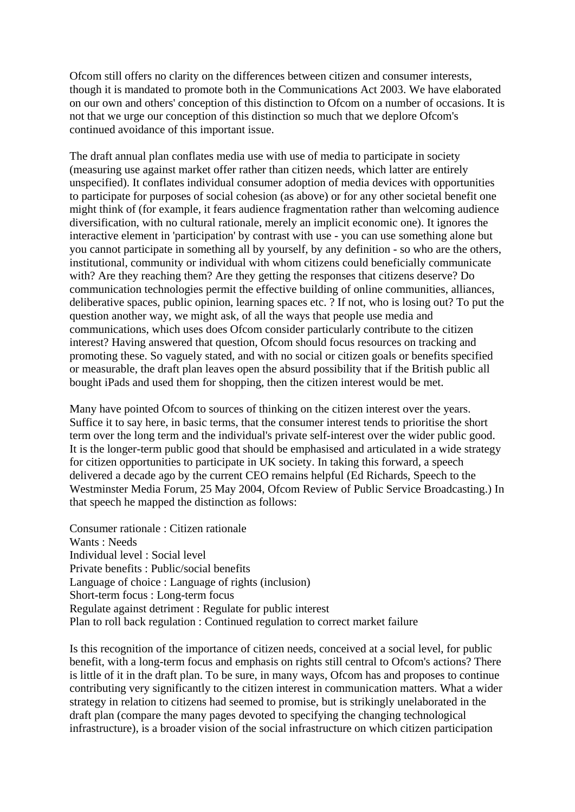Ofcom still offers no clarity on the differences between citizen and consumer interests, though it is mandated to promote both in the Communications Act 2003. We have elaborated on our own and others' conception of this distinction to Ofcom on a number of occasions. It is not that we urge our conception of this distinction so much that we deplore Ofcom's continued avoidance of this important issue.

The draft annual plan conflates media use with use of media to participate in society (measuring use against market offer rather than citizen needs, which latter are entirely unspecified). It conflates individual consumer adoption of media devices with opportunities to participate for purposes of social cohesion (as above) or for any other societal benefit one might think of (for example, it fears audience fragmentation rather than welcoming audience diversification, with no cultural rationale, merely an implicit economic one). It ignores the interactive element in 'participation' by contrast with use - you can use something alone but you cannot participate in something all by yourself, by any definition - so who are the others, institutional, community or individual with whom citizens could beneficially communicate with? Are they reaching them? Are they getting the responses that citizens deserve? Do communication technologies permit the effective building of online communities, alliances, deliberative spaces, public opinion, learning spaces etc. ? If not, who is losing out? To put the question another way, we might ask, of all the ways that people use media and communications, which uses does Ofcom consider particularly contribute to the citizen interest? Having answered that question, Ofcom should focus resources on tracking and promoting these. So vaguely stated, and with no social or citizen goals or benefits specified or measurable, the draft plan leaves open the absurd possibility that if the British public all bought iPads and used them for shopping, then the citizen interest would be met.

Many have pointed Ofcom to sources of thinking on the citizen interest over the years. Suffice it to say here, in basic terms, that the consumer interest tends to prioritise the short term over the long term and the individual's private self-interest over the wider public good. It is the longer-term public good that should be emphasised and articulated in a wide strategy for citizen opportunities to participate in UK society. In taking this forward, a speech delivered a decade ago by the current CEO remains helpful (Ed Richards, Speech to the Westminster Media Forum, 25 May 2004, Ofcom Review of Public Service Broadcasting.) In that speech he mapped the distinction as follows:

Consumer rationale : Citizen rationale Wants : Needs Individual level : Social level Private benefits : Public/social benefits Language of choice : Language of rights (inclusion) Short-term focus : Long-term focus Regulate against detriment : Regulate for public interest Plan to roll back regulation : Continued regulation to correct market failure

Is this recognition of the importance of citizen needs, conceived at a social level, for public benefit, with a long-term focus and emphasis on rights still central to Ofcom's actions? There is little of it in the draft plan. To be sure, in many ways, Ofcom has and proposes to continue contributing very significantly to the citizen interest in communication matters. What a wider strategy in relation to citizens had seemed to promise, but is strikingly unelaborated in the draft plan (compare the many pages devoted to specifying the changing technological infrastructure), is a broader vision of the social infrastructure on which citizen participation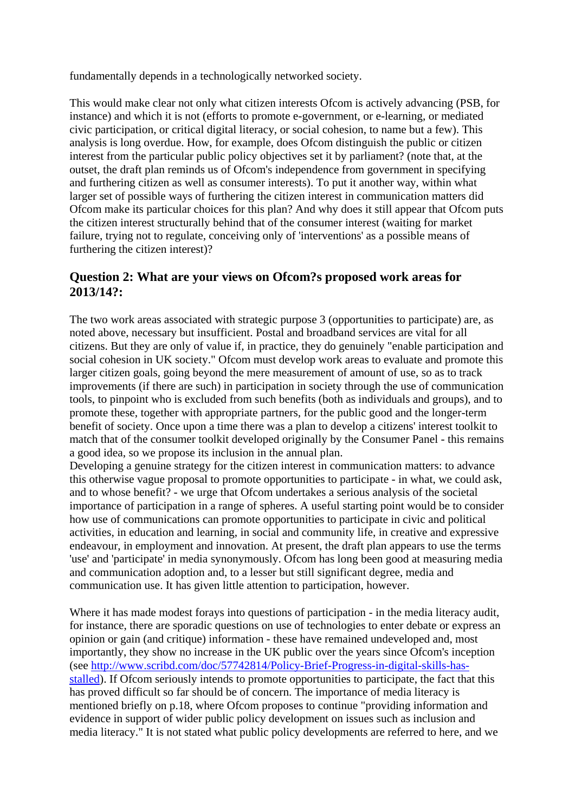fundamentally depends in a technologically networked society.

This would make clear not only what citizen interests Ofcom is actively advancing (PSB, for instance) and which it is not (efforts to promote e-government, or e-learning, or mediated civic participation, or critical digital literacy, or social cohesion, to name but a few). This analysis is long overdue. How, for example, does Ofcom distinguish the public or citizen interest from the particular public policy objectives set it by parliament? (note that, at the outset, the draft plan reminds us of Ofcom's independence from government in specifying and furthering citizen as well as consumer interests). To put it another way, within what larger set of possible ways of furthering the citizen interest in communication matters did Ofcom make its particular choices for this plan? And why does it still appear that Ofcom puts the citizen interest structurally behind that of the consumer interest (waiting for market failure, trying not to regulate, conceiving only of 'interventions' as a possible means of furthering the citizen interest)?

### **Question 2: What are your views on Ofcom?s proposed work areas for 2013/14?:**

The two work areas associated with strategic purpose 3 (opportunities to participate) are, as noted above, necessary but insufficient. Postal and broadband services are vital for all citizens. But they are only of value if, in practice, they do genuinely "enable participation and social cohesion in UK society." Of com must develop work areas to evaluate and promote this larger citizen goals, going beyond the mere measurement of amount of use, so as to track improvements (if there are such) in participation in society through the use of communication tools, to pinpoint who is excluded from such benefits (both as individuals and groups), and to promote these, together with appropriate partners, for the public good and the longer-term benefit of society. Once upon a time there was a plan to develop a citizens' interest toolkit to match that of the consumer toolkit developed originally by the Consumer Panel - this remains a good idea, so we propose its inclusion in the annual plan.

Developing a genuine strategy for the citizen interest in communication matters: to advance this otherwise vague proposal to promote opportunities to participate - in what, we could ask, and to whose benefit? - we urge that Ofcom undertakes a serious analysis of the societal importance of participation in a range of spheres. A useful starting point would be to consider how use of communications can promote opportunities to participate in civic and political activities, in education and learning, in social and community life, in creative and expressive endeavour, in employment and innovation. At present, the draft plan appears to use the terms 'use' and 'participate' in media synonymously. Ofcom has long been good at measuring media and communication adoption and, to a lesser but still significant degree, media and communication use. It has given little attention to participation, however.

Where it has made modest forays into questions of participation - in the media literacy audit, for instance, there are sporadic questions on use of technologies to enter debate or express an opinion or gain (and critique) information - these have remained undeveloped and, most importantly, they show no increase in the UK public over the years since Ofcom's inception (see [http://www.scribd.com/doc/57742814/Policy-Brief-Progress-in-digital-skills-has](http://www.scribd.com/doc/57742814/Policy-Brief-Progress-in-digital-skills-has-stalled)[stalled\)](http://www.scribd.com/doc/57742814/Policy-Brief-Progress-in-digital-skills-has-stalled). If Ofcom seriously intends to promote opportunities to participate, the fact that this has proved difficult so far should be of concern. The importance of media literacy is mentioned briefly on p.18, where Ofcom proposes to continue "providing information and evidence in support of wider public policy development on issues such as inclusion and media literacy." It is not stated what public policy developments are referred to here, and we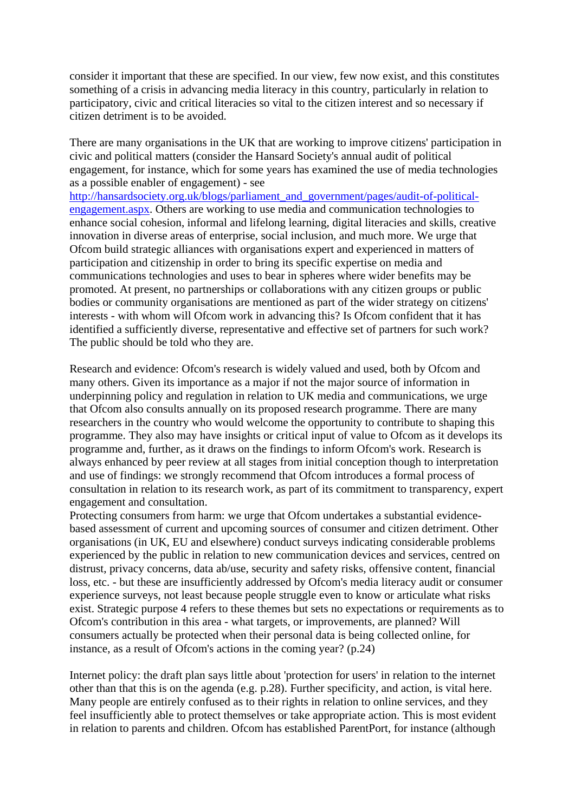consider it important that these are specified. In our view, few now exist, and this constitutes something of a crisis in advancing media literacy in this country, particularly in relation to participatory, civic and critical literacies so vital to the citizen interest and so necessary if citizen detriment is to be avoided.

There are many organisations in the UK that are working to improve citizens' participation in civic and political matters (consider the Hansard Society's annual audit of political engagement, for instance, which for some years has examined the use of media technologies as a possible enabler of engagement) - see

[http://hansardsociety.org.uk/blogs/parliament\\_and\\_government/pages/audit-of-political](http://hansardsociety.org.uk/blogs/parliament_and_government/pages/audit-of-political-engagement.aspx)[engagement.aspx.](http://hansardsociety.org.uk/blogs/parliament_and_government/pages/audit-of-political-engagement.aspx) Others are working to use media and communication technologies to enhance social cohesion, informal and lifelong learning, digital literacies and skills, creative innovation in diverse areas of enterprise, social inclusion, and much more. We urge that Ofcom build strategic alliances with organisations expert and experienced in matters of participation and citizenship in order to bring its specific expertise on media and communications technologies and uses to bear in spheres where wider benefits may be promoted. At present, no partnerships or collaborations with any citizen groups or public bodies or community organisations are mentioned as part of the wider strategy on citizens' interests - with whom will Ofcom work in advancing this? Is Ofcom confident that it has identified a sufficiently diverse, representative and effective set of partners for such work? The public should be told who they are.

Research and evidence: Ofcom's research is widely valued and used, both by Ofcom and many others. Given its importance as a major if not the major source of information in underpinning policy and regulation in relation to UK media and communications, we urge that Ofcom also consults annually on its proposed research programme. There are many researchers in the country who would welcome the opportunity to contribute to shaping this programme. They also may have insights or critical input of value to Ofcom as it develops its programme and, further, as it draws on the findings to inform Ofcom's work. Research is always enhanced by peer review at all stages from initial conception though to interpretation and use of findings: we strongly recommend that Ofcom introduces a formal process of consultation in relation to its research work, as part of its commitment to transparency, expert engagement and consultation.

Protecting consumers from harm: we urge that Ofcom undertakes a substantial evidencebased assessment of current and upcoming sources of consumer and citizen detriment. Other organisations (in UK, EU and elsewhere) conduct surveys indicating considerable problems experienced by the public in relation to new communication devices and services, centred on distrust, privacy concerns, data ab/use, security and safety risks, offensive content, financial loss, etc. - but these are insufficiently addressed by Ofcom's media literacy audit or consumer experience surveys, not least because people struggle even to know or articulate what risks exist. Strategic purpose 4 refers to these themes but sets no expectations or requirements as to Ofcom's contribution in this area - what targets, or improvements, are planned? Will consumers actually be protected when their personal data is being collected online, for instance, as a result of Ofcom's actions in the coming year? (p.24)

Internet policy: the draft plan says little about 'protection for users' in relation to the internet other than that this is on the agenda (e.g. p.28). Further specificity, and action, is vital here. Many people are entirely confused as to their rights in relation to online services, and they feel insufficiently able to protect themselves or take appropriate action. This is most evident in relation to parents and children. Ofcom has established ParentPort, for instance (although